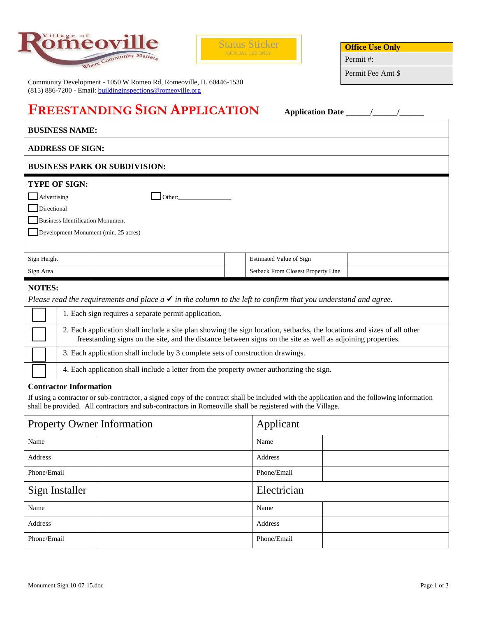



Community Development - 1050 W Romeo Rd, Romeoville, IL 60446-1530 (815) 886-7200 - Email: **buildinginspections@romeoville.org** 

| <b>Office Use Only</b> |  |
|------------------------|--|
|------------------------|--|

Permit #:

Permit Fee Amt \$

| <b>FREESTANDING SIGN APPLICATION</b>                                                                                                                                                                                                                                                                                                                                                                                                                                                                                                                                                                                                                                                                                                                                                                                                                                                                                     |                                      |                                    |  |  |  |  |
|--------------------------------------------------------------------------------------------------------------------------------------------------------------------------------------------------------------------------------------------------------------------------------------------------------------------------------------------------------------------------------------------------------------------------------------------------------------------------------------------------------------------------------------------------------------------------------------------------------------------------------------------------------------------------------------------------------------------------------------------------------------------------------------------------------------------------------------------------------------------------------------------------------------------------|--------------------------------------|------------------------------------|--|--|--|--|
| <b>BUSINESS NAME:</b>                                                                                                                                                                                                                                                                                                                                                                                                                                                                                                                                                                                                                                                                                                                                                                                                                                                                                                    |                                      |                                    |  |  |  |  |
| <b>ADDRESS OF SIGN:</b>                                                                                                                                                                                                                                                                                                                                                                                                                                                                                                                                                                                                                                                                                                                                                                                                                                                                                                  |                                      |                                    |  |  |  |  |
|                                                                                                                                                                                                                                                                                                                                                                                                                                                                                                                                                                                                                                                                                                                                                                                                                                                                                                                          | <b>BUSINESS PARK OR SUBDIVISION:</b> |                                    |  |  |  |  |
| <b>TYPE OF SIGN:</b><br>Advertising<br>Directional<br><b>Business Identification Monument</b><br>Development Monument (min. 25 acres)                                                                                                                                                                                                                                                                                                                                                                                                                                                                                                                                                                                                                                                                                                                                                                                    | Other:                               |                                    |  |  |  |  |
| Sign Height                                                                                                                                                                                                                                                                                                                                                                                                                                                                                                                                                                                                                                                                                                                                                                                                                                                                                                              |                                      | <b>Estimated Value of Sign</b>     |  |  |  |  |
| Sign Area                                                                                                                                                                                                                                                                                                                                                                                                                                                                                                                                                                                                                                                                                                                                                                                                                                                                                                                |                                      | Setback From Closest Property Line |  |  |  |  |
| <b>NOTES:</b><br>Please read the requirements and place $a \checkmark$ in the column to the left to confirm that you understand and agree.<br>1. Each sign requires a separate permit application.<br>2. Each application shall include a site plan showing the sign location, setbacks, the locations and sizes of all other<br>freestanding signs on the site, and the distance between signs on the site as well as adjoining properties.<br>3. Each application shall include by 3 complete sets of construction drawings.<br>4. Each application shall include a letter from the property owner authorizing the sign.<br><b>Contractor Information</b><br>If using a contractor or sub-contractor, a signed copy of the contract shall be included with the application and the following information<br>shall be provided. All contractors and sub-contractors in Romeoville shall be registered with the Village. |                                      |                                    |  |  |  |  |
| <b>Property Owner Information</b>                                                                                                                                                                                                                                                                                                                                                                                                                                                                                                                                                                                                                                                                                                                                                                                                                                                                                        |                                      | Applicant                          |  |  |  |  |
| Name                                                                                                                                                                                                                                                                                                                                                                                                                                                                                                                                                                                                                                                                                                                                                                                                                                                                                                                     |                                      | Name                               |  |  |  |  |
| Address                                                                                                                                                                                                                                                                                                                                                                                                                                                                                                                                                                                                                                                                                                                                                                                                                                                                                                                  |                                      | Address                            |  |  |  |  |
| Phone/Email                                                                                                                                                                                                                                                                                                                                                                                                                                                                                                                                                                                                                                                                                                                                                                                                                                                                                                              |                                      | Phone/Email                        |  |  |  |  |
| Sign Installer                                                                                                                                                                                                                                                                                                                                                                                                                                                                                                                                                                                                                                                                                                                                                                                                                                                                                                           |                                      | Electrician                        |  |  |  |  |
| Name                                                                                                                                                                                                                                                                                                                                                                                                                                                                                                                                                                                                                                                                                                                                                                                                                                                                                                                     |                                      | Name                               |  |  |  |  |
| Address                                                                                                                                                                                                                                                                                                                                                                                                                                                                                                                                                                                                                                                                                                                                                                                                                                                                                                                  |                                      | Address                            |  |  |  |  |
| Phone/Email                                                                                                                                                                                                                                                                                                                                                                                                                                                                                                                                                                                                                                                                                                                                                                                                                                                                                                              |                                      | Phone/Email                        |  |  |  |  |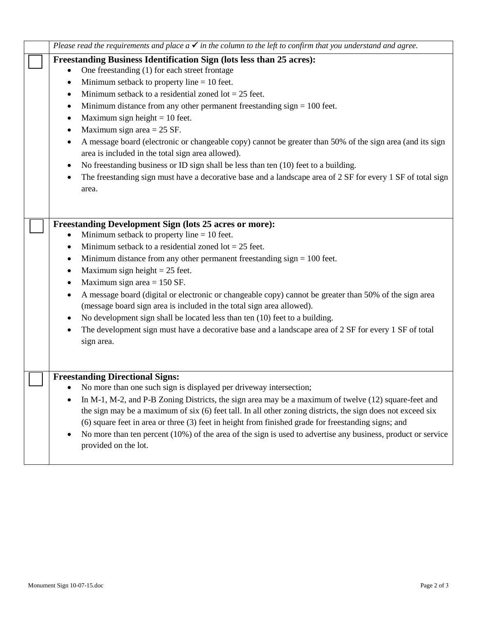| Please read the requirements and place $a \checkmark$ in the column to the left to confirm that you understand and agree.                                                                                                                                                                                                                                                                                                                                                                                                                                                                                                                                                                                                                                                                                                                                                  |
|----------------------------------------------------------------------------------------------------------------------------------------------------------------------------------------------------------------------------------------------------------------------------------------------------------------------------------------------------------------------------------------------------------------------------------------------------------------------------------------------------------------------------------------------------------------------------------------------------------------------------------------------------------------------------------------------------------------------------------------------------------------------------------------------------------------------------------------------------------------------------|
| Freestanding Business Identification Sign (lots less than 25 acres):<br>One freestanding (1) for each street frontage<br>Minimum setback to property line $= 10$ feet.<br>$\bullet$<br>Minimum setback to a residential zoned $\text{lot} = 25$ feet.<br>٠<br>Minimum distance from any other permanent freestanding sign $= 100$ feet.<br>$\bullet$<br>Maximum sign height $= 10$ feet.<br>$\bullet$<br>Maximum sign area $= 25$ SF.<br>$\bullet$<br>A message board (electronic or changeable copy) cannot be greater than 50% of the sign area (and its sign<br>$\bullet$<br>area is included in the total sign area allowed).<br>No freestanding business or ID sign shall be less than ten (10) feet to a building.<br>$\bullet$<br>The freestanding sign must have a decorative base and a landscape area of 2 SF for every 1 SF of total sign<br>$\bullet$<br>area. |
| <b>Freestanding Development Sign (lots 25 acres or more):</b><br>Minimum setback to property line $= 10$ feet.<br>$\bullet$<br>Minimum setback to a residential zoned $\text{lot} = 25$ feet.<br>$\bullet$<br>Minimum distance from any other permanent freestanding sign $= 100$ feet.<br>$\bullet$<br>Maximum sign height $= 25$ feet.<br>$\bullet$<br>Maximum sign area $= 150$ SF.<br>٠<br>A message board (digital or electronic or changeable copy) cannot be greater than 50% of the sign area<br>$\bullet$<br>(message board sign area is included in the total sign area allowed).<br>No development sign shall be located less than ten (10) feet to a building.<br>The development sign must have a decorative base and a landscape area of 2 SF for every 1 SF of total<br>sign area.                                                                          |
| <b>Freestanding Directional Signs:</b><br>No more than one such sign is displayed per driveway intersection;<br>In $M-1$ , $M-2$ , and P-B Zoning Districts, the sign area may be a maximum of twelve (12) square-feet and<br>the sign may be a maximum of six (6) feet tall. In all other zoning districts, the sign does not exceed six<br>(6) square feet in area or three (3) feet in height from finished grade for freestanding signs; and<br>No more than ten percent (10%) of the area of the sign is used to advertise any business, product or service<br>provided on the lot.                                                                                                                                                                                                                                                                                   |